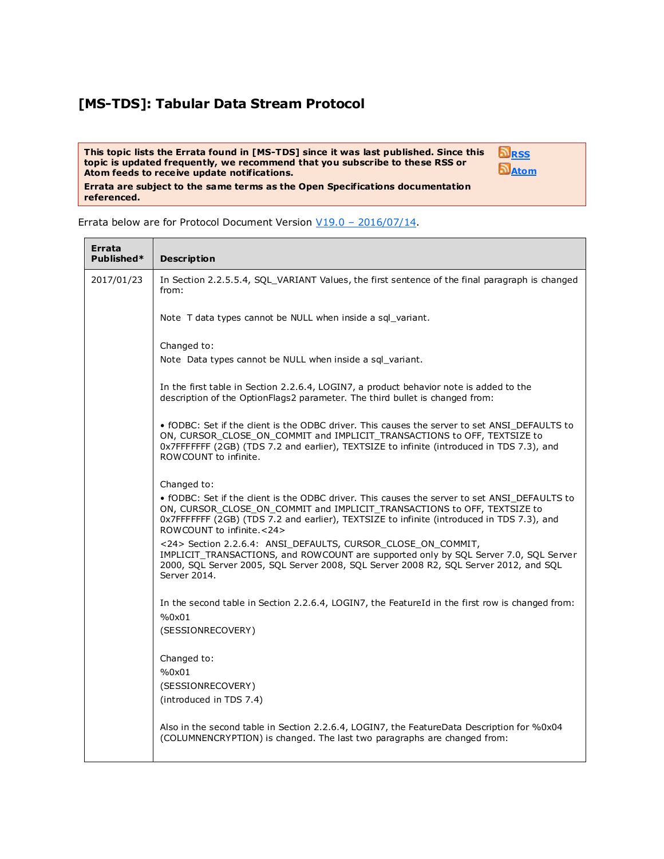## **[MS-TDS]: Tabular Data Stream Protocol**

**This topic lists the Errata found in [MS-TDS] since it was last published. Since this topic is updated frequently, we recommend that you subscribe to these RSS or Atom feeds to receive update notifications. Errata are subject to the same terms as the Open Specifications documentation referenced.**

**[RSS](http://blogs.msdn.com/b/protocol_content_errata/rss.aspx) [Atom](http://blogs.msdn.com/b/protocol_content_errata/atom.aspx)**



Errata below are for Protocol Document Version V19.0 – [2016/07/14.](http://go.microsoft.com/fwlink/?LinkID=511321)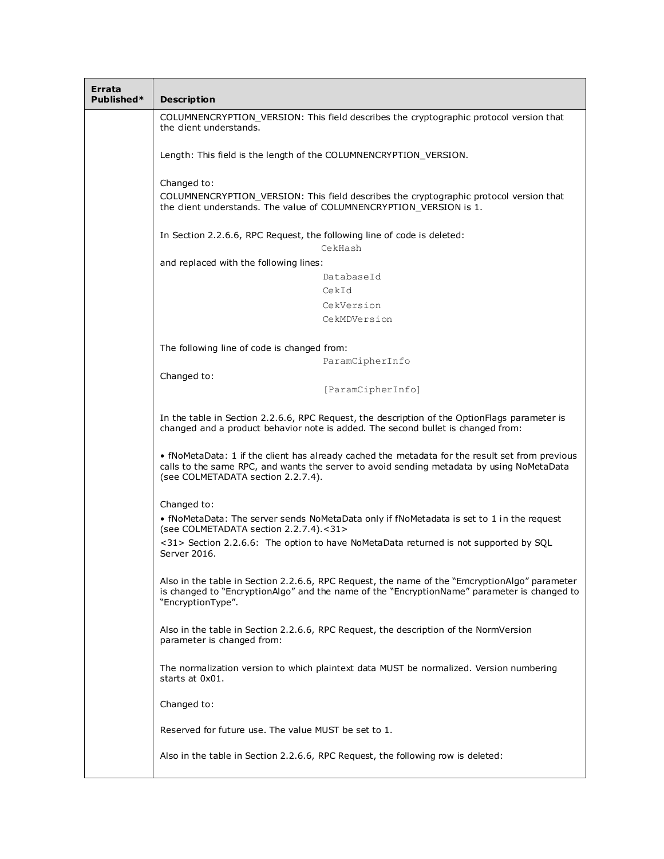| Errata<br>Published* | <b>Description</b>                                                                                                                                                                                                                                                                   |
|----------------------|--------------------------------------------------------------------------------------------------------------------------------------------------------------------------------------------------------------------------------------------------------------------------------------|
|                      | COLUMNENCRYPTION_VERSION: This field describes the cryptographic protocol version that<br>the dient understands.                                                                                                                                                                     |
|                      | Length: This field is the length of the COLUMNENCRYPTION_VERSION.                                                                                                                                                                                                                    |
|                      | Changed to:<br>COLUMNENCRYPTION_VERSION: This field describes the cryptographic protocol version that<br>the dient understands. The value of COLUMNENCRYPTION_VERSION is 1.                                                                                                          |
|                      | In Section 2.2.6.6, RPC Request, the following line of code is deleted:<br>CekHash                                                                                                                                                                                                   |
|                      | and replaced with the following lines:                                                                                                                                                                                                                                               |
|                      | DatabaseId                                                                                                                                                                                                                                                                           |
|                      | CekId                                                                                                                                                                                                                                                                                |
|                      | CekVersion                                                                                                                                                                                                                                                                           |
|                      | CekMDVersion                                                                                                                                                                                                                                                                         |
|                      |                                                                                                                                                                                                                                                                                      |
|                      | The following line of code is changed from:                                                                                                                                                                                                                                          |
|                      | ParamCipherInfo                                                                                                                                                                                                                                                                      |
|                      | Changed to:                                                                                                                                                                                                                                                                          |
|                      | [ParamCipherInfo]                                                                                                                                                                                                                                                                    |
|                      | In the table in Section 2.2.6.6, RPC Request, the description of the OptionFlags parameter is<br>changed and a product behavior note is added. The second bullet is changed from:<br>. fNoMetaData: 1 if the client has already cached the metadata for the result set from previous |
|                      | calls to the same RPC, and wants the server to avoid sending metadata by using NoMetaData<br>(see COLMETADATA section 2.2.7.4).                                                                                                                                                      |
|                      | Changed to:                                                                                                                                                                                                                                                                          |
|                      | • fNoMetaData: The server sends NoMetaData only if fNoMetadata is set to 1 in the request<br>(see COLMETADATA section 2.2.7.4).<31>                                                                                                                                                  |
|                      | <31> Section 2.2.6.6: The option to have NoMetaData returned is not supported by SQL<br>Server 2016.                                                                                                                                                                                 |
|                      | Also in the table in Section 2.2.6.6, RPC Request, the name of the "EmcryptionAlgo" parameter<br>is changed to "EncryptionAlgo" and the name of the "EncryptionName" parameter is changed to<br>"EncryptionType".                                                                    |
|                      | Also in the table in Section 2.2.6.6, RPC Request, the description of the NormVersion<br>parameter is changed from:                                                                                                                                                                  |
|                      | The normalization version to which plaintext data MUST be normalized. Version numbering<br>starts at 0x01.                                                                                                                                                                           |
|                      | Changed to:                                                                                                                                                                                                                                                                          |
|                      | Reserved for future use. The value MUST be set to 1.                                                                                                                                                                                                                                 |
|                      | Also in the table in Section 2.2.6.6, RPC Request, the following row is deleted:                                                                                                                                                                                                     |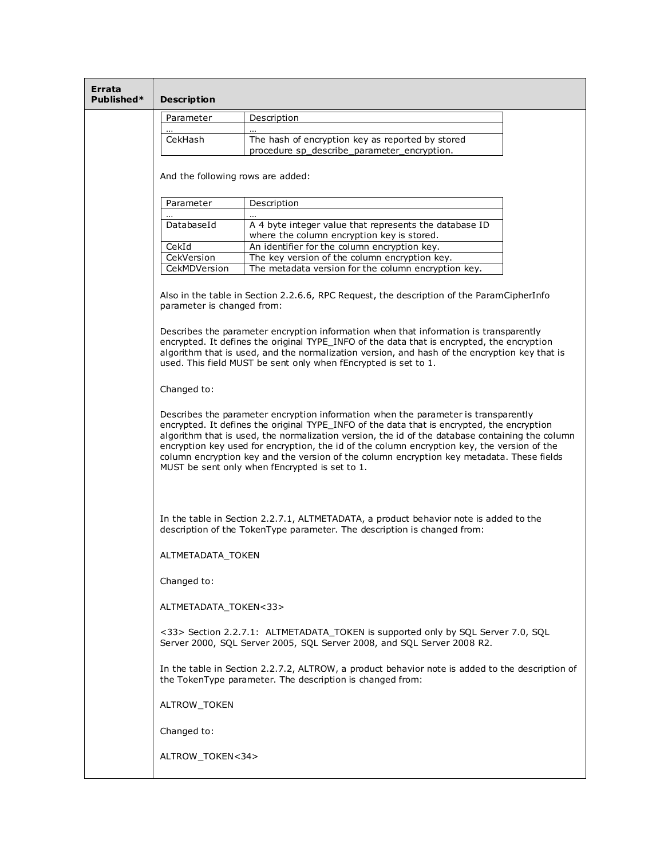| Errata<br>Published* | <b>Description</b>                                                                                                                                                                                                                                                                                                                                                                                                                                                                                                                                                                                                                                                                                                                                                                                                                                                                                          |                                                                                                                                                                   |  |
|----------------------|-------------------------------------------------------------------------------------------------------------------------------------------------------------------------------------------------------------------------------------------------------------------------------------------------------------------------------------------------------------------------------------------------------------------------------------------------------------------------------------------------------------------------------------------------------------------------------------------------------------------------------------------------------------------------------------------------------------------------------------------------------------------------------------------------------------------------------------------------------------------------------------------------------------|-------------------------------------------------------------------------------------------------------------------------------------------------------------------|--|
|                      | Parameter                                                                                                                                                                                                                                                                                                                                                                                                                                                                                                                                                                                                                                                                                                                                                                                                                                                                                                   | Description                                                                                                                                                       |  |
|                      |                                                                                                                                                                                                                                                                                                                                                                                                                                                                                                                                                                                                                                                                                                                                                                                                                                                                                                             |                                                                                                                                                                   |  |
|                      | CekHash                                                                                                                                                                                                                                                                                                                                                                                                                                                                                                                                                                                                                                                                                                                                                                                                                                                                                                     | The hash of encryption key as reported by stored<br>procedure sp_describe_parameter_encryption.                                                                   |  |
|                      | And the following rows are added:                                                                                                                                                                                                                                                                                                                                                                                                                                                                                                                                                                                                                                                                                                                                                                                                                                                                           |                                                                                                                                                                   |  |
|                      | Parameter                                                                                                                                                                                                                                                                                                                                                                                                                                                                                                                                                                                                                                                                                                                                                                                                                                                                                                   | Description                                                                                                                                                       |  |
|                      | DatabaseId                                                                                                                                                                                                                                                                                                                                                                                                                                                                                                                                                                                                                                                                                                                                                                                                                                                                                                  | $\cdots$<br>A 4 byte integer value that represents the database ID<br>where the column encryption key is stored.                                                  |  |
|                      | CekId                                                                                                                                                                                                                                                                                                                                                                                                                                                                                                                                                                                                                                                                                                                                                                                                                                                                                                       | An identifier for the column encryption key.                                                                                                                      |  |
|                      | CekVersion                                                                                                                                                                                                                                                                                                                                                                                                                                                                                                                                                                                                                                                                                                                                                                                                                                                                                                  | The key version of the column encryption key.                                                                                                                     |  |
|                      | CekMDVersion                                                                                                                                                                                                                                                                                                                                                                                                                                                                                                                                                                                                                                                                                                                                                                                                                                                                                                | The metadata version for the column encryption key.                                                                                                               |  |
|                      | Also in the table in Section 2.2.6.6, RPC Request, the description of the ParamCipherInfo<br>parameter is changed from:                                                                                                                                                                                                                                                                                                                                                                                                                                                                                                                                                                                                                                                                                                                                                                                     |                                                                                                                                                                   |  |
|                      | Describes the parameter encryption information when that information is transparently<br>encrypted. It defines the original TYPE_INFO of the data that is encrypted, the encryption<br>algorithm that is used, and the normalization version, and hash of the encryption key that is<br>used. This field MUST be sent only when fEncrypted is set to 1.<br>Changed to:<br>Describes the parameter encryption information when the parameter is transparently<br>encrypted. It defines the original TYPE_INFO of the data that is encrypted, the encryption<br>algorithm that is used, the normalization version, the id of the database containing the column<br>encryption key used for encryption, the id of the column encryption key, the version of the<br>column encryption key and the version of the column encryption key metadata. These fields<br>MUST be sent only when fEncrypted is set to 1. |                                                                                                                                                                   |  |
|                      |                                                                                                                                                                                                                                                                                                                                                                                                                                                                                                                                                                                                                                                                                                                                                                                                                                                                                                             |                                                                                                                                                                   |  |
|                      |                                                                                                                                                                                                                                                                                                                                                                                                                                                                                                                                                                                                                                                                                                                                                                                                                                                                                                             |                                                                                                                                                                   |  |
|                      | ALTMETADATA TOKEN                                                                                                                                                                                                                                                                                                                                                                                                                                                                                                                                                                                                                                                                                                                                                                                                                                                                                           | In the table in Section 2.2.7.1, ALTMETADATA, a product behavior note is added to the<br>description of the TokenType parameter. The description is changed from: |  |
|                      | Changed to:<br>ALTMETADATA_TOKEN<33>                                                                                                                                                                                                                                                                                                                                                                                                                                                                                                                                                                                                                                                                                                                                                                                                                                                                        |                                                                                                                                                                   |  |
|                      |                                                                                                                                                                                                                                                                                                                                                                                                                                                                                                                                                                                                                                                                                                                                                                                                                                                                                                             |                                                                                                                                                                   |  |
|                      |                                                                                                                                                                                                                                                                                                                                                                                                                                                                                                                                                                                                                                                                                                                                                                                                                                                                                                             | <33> Section 2.2.7.1: ALTMETADATA_TOKEN is supported only by SQL Server 7.0, SQL<br>Server 2000, SQL Server 2005, SQL Server 2008, and SQL Server 2008 R2.        |  |
|                      |                                                                                                                                                                                                                                                                                                                                                                                                                                                                                                                                                                                                                                                                                                                                                                                                                                                                                                             | In the table in Section 2.2.7.2, ALTROW, a product behavior note is added to the description of<br>the TokenType parameter. The description is changed from:      |  |
|                      | ALTROW_TOKEN                                                                                                                                                                                                                                                                                                                                                                                                                                                                                                                                                                                                                                                                                                                                                                                                                                                                                                |                                                                                                                                                                   |  |
|                      | Changed to:                                                                                                                                                                                                                                                                                                                                                                                                                                                                                                                                                                                                                                                                                                                                                                                                                                                                                                 |                                                                                                                                                                   |  |
|                      | ALTROW_TOKEN<34>                                                                                                                                                                                                                                                                                                                                                                                                                                                                                                                                                                                                                                                                                                                                                                                                                                                                                            |                                                                                                                                                                   |  |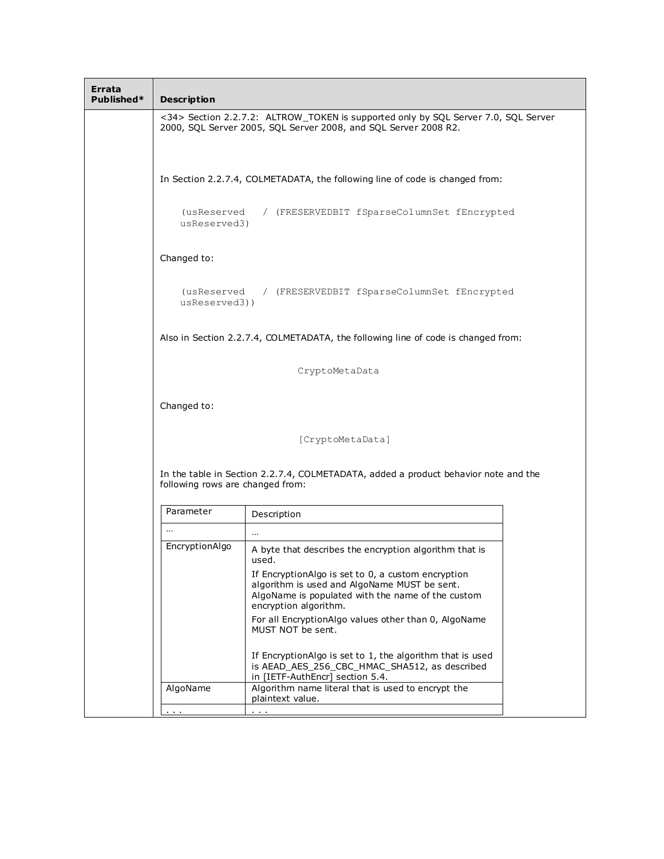| Errata<br>Published* | <b>Description</b>                                                                                                                                         |                                                                                                                                                                                  |  |
|----------------------|------------------------------------------------------------------------------------------------------------------------------------------------------------|----------------------------------------------------------------------------------------------------------------------------------------------------------------------------------|--|
|                      | <34> Section 2.2.7.2: ALTROW_TOKEN is supported only by SQL Server 7.0, SQL Server<br>2000, SQL Server 2005, SQL Server 2008, and SQL Server 2008 R2.      |                                                                                                                                                                                  |  |
|                      | In Section 2.2.7.4, COLMETADATA, the following line of code is changed from:<br>(usReserved<br>/ (FRESERVEDBIT fSparseColumnSet fEncrypted<br>usReserved3) |                                                                                                                                                                                  |  |
|                      |                                                                                                                                                            |                                                                                                                                                                                  |  |
|                      | Changed to:<br>(usReserved / (FRESERVEDBIT fSparseColumnSet fEncrypted<br>usReserved3))                                                                    |                                                                                                                                                                                  |  |
|                      |                                                                                                                                                            |                                                                                                                                                                                  |  |
|                      | Also in Section 2.2.7.4, COLMETADATA, the following line of code is changed from:<br>CryptoMetaData<br>Changed to:                                         |                                                                                                                                                                                  |  |
|                      |                                                                                                                                                            |                                                                                                                                                                                  |  |
|                      |                                                                                                                                                            |                                                                                                                                                                                  |  |
|                      | [CryptoMetaData]                                                                                                                                           |                                                                                                                                                                                  |  |
|                      | following rows are changed from:                                                                                                                           | In the table in Section 2.2.7.4, COLMETADATA, added a product behavior note and the                                                                                              |  |
|                      | Parameter                                                                                                                                                  | Description                                                                                                                                                                      |  |
|                      | $\cdots$                                                                                                                                                   | $\cdots$                                                                                                                                                                         |  |
|                      | EncryptionAlgo                                                                                                                                             | A byte that describes the encryption algorithm that is<br>used.                                                                                                                  |  |
|                      |                                                                                                                                                            | If EncryptionAlgo is set to 0, a custom encryption<br>algorithm is used and AlgoName MUST be sent.<br>AlgoName is populated with the name of the custom<br>encryption algorithm. |  |
|                      |                                                                                                                                                            | For all EncryptionAlgo values other than 0, AlgoName<br>MUST NOT be sent.                                                                                                        |  |
|                      |                                                                                                                                                            | If EncryptionAlgo is set to 1, the algorithm that is used<br>is AEAD_AES_256_CBC_HMAC_SHA512, as described<br>in [IETF-AuthEncr] section 5.4.                                    |  |
|                      | AlgoName                                                                                                                                                   | Algorithm name literal that is used to encrypt the<br>plaintext value.                                                                                                           |  |
|                      | $\cdots$                                                                                                                                                   | $\sim 100$                                                                                                                                                                       |  |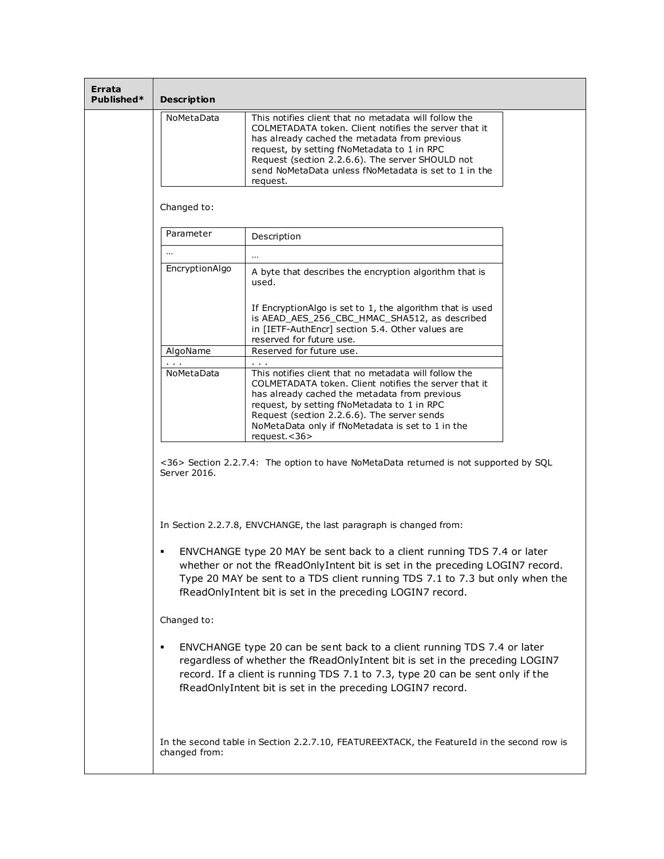| Errata<br>Published* | <b>Description</b>                                                                                                                                                                                                                                                                                                         |                                                                                                                                                                                                                                                                                                                                         |  |
|----------------------|----------------------------------------------------------------------------------------------------------------------------------------------------------------------------------------------------------------------------------------------------------------------------------------------------------------------------|-----------------------------------------------------------------------------------------------------------------------------------------------------------------------------------------------------------------------------------------------------------------------------------------------------------------------------------------|--|
|                      | NoMetaData                                                                                                                                                                                                                                                                                                                 | This notifies client that no metadata will follow the<br>COLMETADATA token. Client notifies the server that it<br>has already cached the metadata from previous<br>request, by setting fNoMetadata to 1 in RPC<br>Request (section 2.2.6.6). The server SHOULD not<br>send NoMetaData unless fNoMetadata is set to 1 in the<br>request. |  |
|                      | Changed to:                                                                                                                                                                                                                                                                                                                |                                                                                                                                                                                                                                                                                                                                         |  |
|                      | Parameter                                                                                                                                                                                                                                                                                                                  | Description                                                                                                                                                                                                                                                                                                                             |  |
|                      | $\cdots$                                                                                                                                                                                                                                                                                                                   | $\cdots$                                                                                                                                                                                                                                                                                                                                |  |
|                      | EncryptionAlgo                                                                                                                                                                                                                                                                                                             | A byte that describes the encryption algorithm that is<br>used.                                                                                                                                                                                                                                                                         |  |
|                      |                                                                                                                                                                                                                                                                                                                            | If EncryptionAlgo is set to 1, the algorithm that is used<br>is AEAD_AES_256_CBC_HMAC_SHA512, as described<br>in [IETF-AuthEncr] section 5.4. Other values are<br>reserved for future use.                                                                                                                                              |  |
|                      | AlgoName<br>$\cdots$                                                                                                                                                                                                                                                                                                       | Reserved for future use.                                                                                                                                                                                                                                                                                                                |  |
|                      | NoMetaData                                                                                                                                                                                                                                                                                                                 | This notifies client that no metadata will follow the<br>COLMETADATA token. Client notifies the server that it<br>has already cached the metadata from previous<br>request, by setting fNoMetadata to 1 in RPC<br>Request (section 2.2.6.6). The server sends<br>NoMetaData only if fNoMetadata is set to 1 in the<br>request.<36>      |  |
|                      | <36> Section 2.2.7.4: The option to have NoMetaData returned is not supported by SQL<br>Server 2016.                                                                                                                                                                                                                       |                                                                                                                                                                                                                                                                                                                                         |  |
|                      |                                                                                                                                                                                                                                                                                                                            | In Section 2.2.7.8, ENVCHANGE, the last paragraph is changed from:                                                                                                                                                                                                                                                                      |  |
|                      | ENVCHANGE type 20 MAY be sent back to a client running TDS 7.4 or later<br>٠<br>whether or not the fReadOnlyIntent bit is set in the preceding LOGIN7 record.<br>Type 20 MAY be sent to a TDS client running TDS 7.1 to 7.3 but only when the<br>fReadOnlyIntent bit is set in the preceding LOGIN7 record.<br>Changed to: |                                                                                                                                                                                                                                                                                                                                         |  |
|                      |                                                                                                                                                                                                                                                                                                                            |                                                                                                                                                                                                                                                                                                                                         |  |
|                      | п                                                                                                                                                                                                                                                                                                                          | ENVCHANGE type 20 can be sent back to a client running TDS 7.4 or later<br>regardless of whether the fReadOnlyIntent bit is set in the preceding LOGIN7<br>record. If a client is running TDS 7.1 to 7.3, type 20 can be sent only if the<br>fReadOnlyIntent bit is set in the preceding LOGIN7 record.                                 |  |
|                      | changed from:                                                                                                                                                                                                                                                                                                              | In the second table in Section 2.2.7.10, FEATUREEXTACK, the FeatureId in the second row is                                                                                                                                                                                                                                              |  |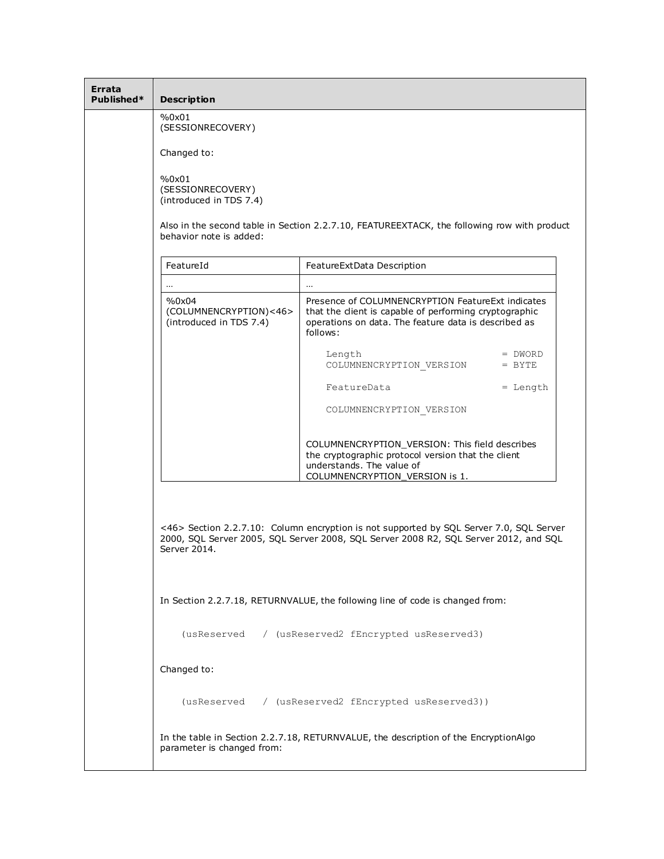| Errata<br>Published* | <b>Description</b>                                         |                                                                                                                                                                                 |                       |
|----------------------|------------------------------------------------------------|---------------------------------------------------------------------------------------------------------------------------------------------------------------------------------|-----------------------|
|                      | %0x01<br>(SESSIONRECOVERY)                                 |                                                                                                                                                                                 |                       |
|                      | Changed to:                                                |                                                                                                                                                                                 |                       |
|                      | %0x01<br>(SESSIONRECOVERY)<br>(introduced in TDS 7.4)      |                                                                                                                                                                                 |                       |
|                      | behavior note is added:                                    | Also in the second table in Section 2.2.7.10, FEATUREEXTACK, the following row with product                                                                                     |                       |
|                      | FeatureId                                                  | FeatureExtData Description                                                                                                                                                      |                       |
|                      | $\cdots$                                                   | $\ddotsc$                                                                                                                                                                       |                       |
|                      | %0x04<br>(COLUMNENCRYPTION)<46><br>(introduced in TDS 7.4) | Presence of COLUMNENCRYPTION FeatureExt indicates<br>that the dient is capable of performing cryptographic<br>operations on data. The feature data is described as<br>follows:  |                       |
|                      |                                                            | Length<br>COLUMNENCRYPTION VERSION                                                                                                                                              | $= DWORD$<br>$=$ BYTE |
|                      |                                                            | FeatureData                                                                                                                                                                     | $=$ Length            |
|                      |                                                            | COLUMNENCRYPTION VERSION                                                                                                                                                        |                       |
|                      |                                                            | COLUMNENCRYPTION_VERSION: This field describes<br>the cryptographic protocol version that the client<br>understands. The value of<br>COLUMNENCRYPTION_VERSION is 1.             |                       |
|                      | Server 2014.                                               | <46> Section 2.2.7.10: Column encryption is not supported by SQL Server 7.0, SQL Server<br>2000, SQL Server 2005, SQL Server 2008, SQL Server 2008 R2, SQL Server 2012, and SQL |                       |
|                      |                                                            | In Section 2.2.7.18, RETURNVALUE, the following line of code is changed from:                                                                                                   |                       |
|                      | (usReserved                                                | / (usReserved2 fEncrypted usReserved3)                                                                                                                                          |                       |
|                      | Changed to:                                                |                                                                                                                                                                                 |                       |
|                      |                                                            | (usReserved / (usReserved2 fEncrypted usReserved3))                                                                                                                             |                       |
|                      | parameter is changed from:                                 | In the table in Section 2.2.7.18, RETURNVALUE, the description of the EncryptionAlgo                                                                                            |                       |